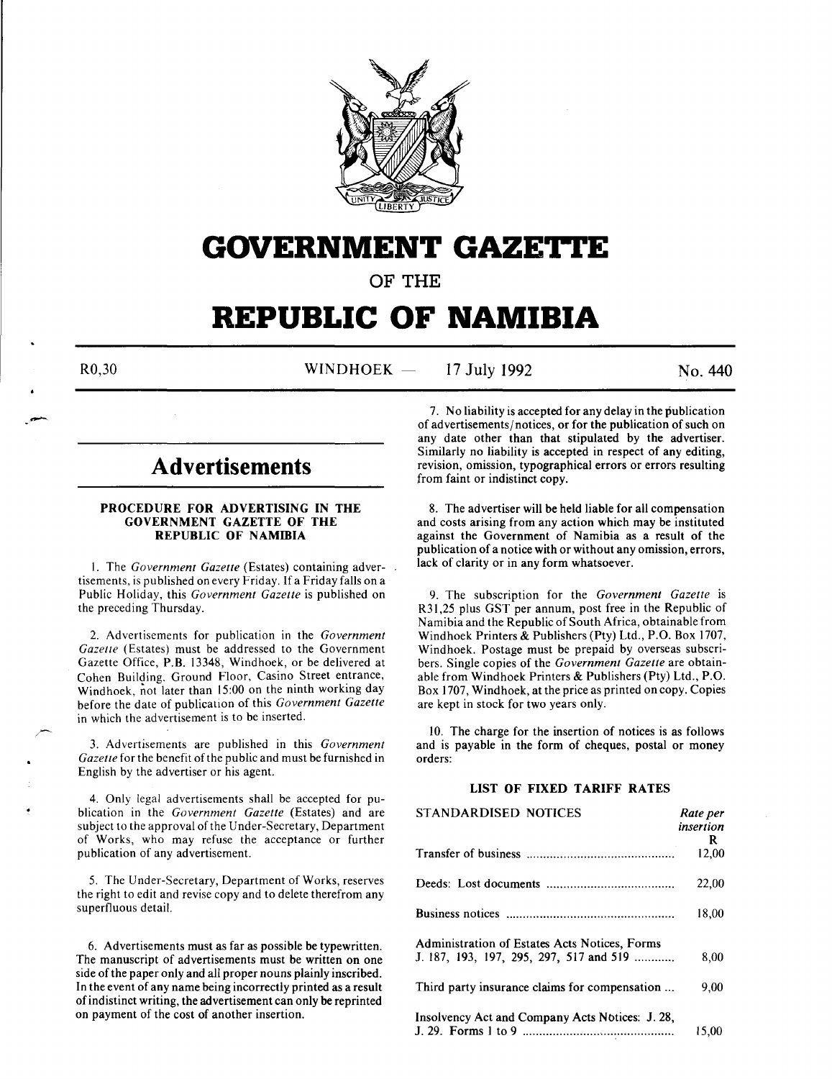

# **GOVERNMENT GAZETTE**

OF THE

# **REPUBLIC OF NAMIBIA**

 $R0,30$  WINDHOEK - 17 July 1992 No. 440

# **Advertisements**

# PROCEDURE FOR ADVERTISING IN THE GOVERNMENT GAZETTE OF THE REPUBLIC OF NAMIBIA

I. The *Government Gazette* (Estates) containing advertisements, is published on every Friday. If a Friday falls on a Public Holiday, this *Government Gazette* is published on the preceding Thursday.

2. Advertisements for publication in the *Government Gazette* (Estates) must be addressed to the Government Gazette Office, P.B. 13348, Windhoek, or be delivered at Cohen Building. Ground Floor, Casino Street entrance, Windhoek, not later than 15:00 on the ninth working day before the date of publication of this *Government Gazette*  in which the advertisement is to be inserted.

3. Advertisements are published in this *Government Gazette* for the benefit of the public and must be furnished in English by the advertiser or his agent.

4. Only legal advertisements shall be accepted for publication in the *Government Gazette* (Estates) and are subject to the approval of the Under-Secretary, Department of Works, who may refuse the acceptance or further publication of any advertisement.

5. The Under-Secretary, Department of Works, reserves the right to edit and revise copy and to delete therefrom any superfluous detail.

6. Advertisements must as far as possible be typewritten. The manuscript of advertisements must be written on one side of the paper only and all proper nouns plainly inscribed. In the event of any name being incorrectly printed as a result of indistinct writing, the advertisement can only be reprinted on payment of the cost of another insertion.

7. No liability is accepted for any delay in the publication of advertisements/notices, or for the publication of such on any date other than that stipulated by the advertiser. Similarly no liability is accepted in respect of any editing, revision, omission, typographical errors or errors resulting from faint or indistinct copy.

8. The advertiser will be held liable for all compensation and costs arising from any action which may be instituted against the Government of Namibia as a result of the publication of a notice with or without any omission, errors, lack of clarity or in any form whatsoever.

9. The subscription for the *Government Gazette* is R31,25 plus GST per annum, post free in the Republic of Namibia and the Republic of South Africa, obtainable from Windhoek Printers & Publishers (Pty) Ltd., P.O. Box 1707, Windhoek. Postage must be prepaid by overseas subscribers. Single copies of the *Government Gazette* are obtainable from Windhoek Printers & Publishers (Pty) Ltd., P.O. Box 1707, Windhoek, at the price as printed on copy. Copies are kept in stock for two years only.

10. The charge for the insertion of notices is as follows and is payable in the form of cheques, postal or money orders:

#### LIST OF FIXED TARIFF RATES

| STANDARDISED NOTICES                            | Rate per  |
|-------------------------------------------------|-----------|
|                                                 | insertion |
|                                                 | R.        |
|                                                 | 12,00     |
|                                                 | 22,00     |
|                                                 | 18.00     |
| Administration of Estates Acts Notices, Forms   |           |
| J. 187, 193, 197, 295, 297, 517 and 519         | 8,00      |
| Third party insurance claims for compensation   | 9.00      |
| Insolvency Act and Company Acts Notices: J. 28, |           |
|                                                 | 15,00     |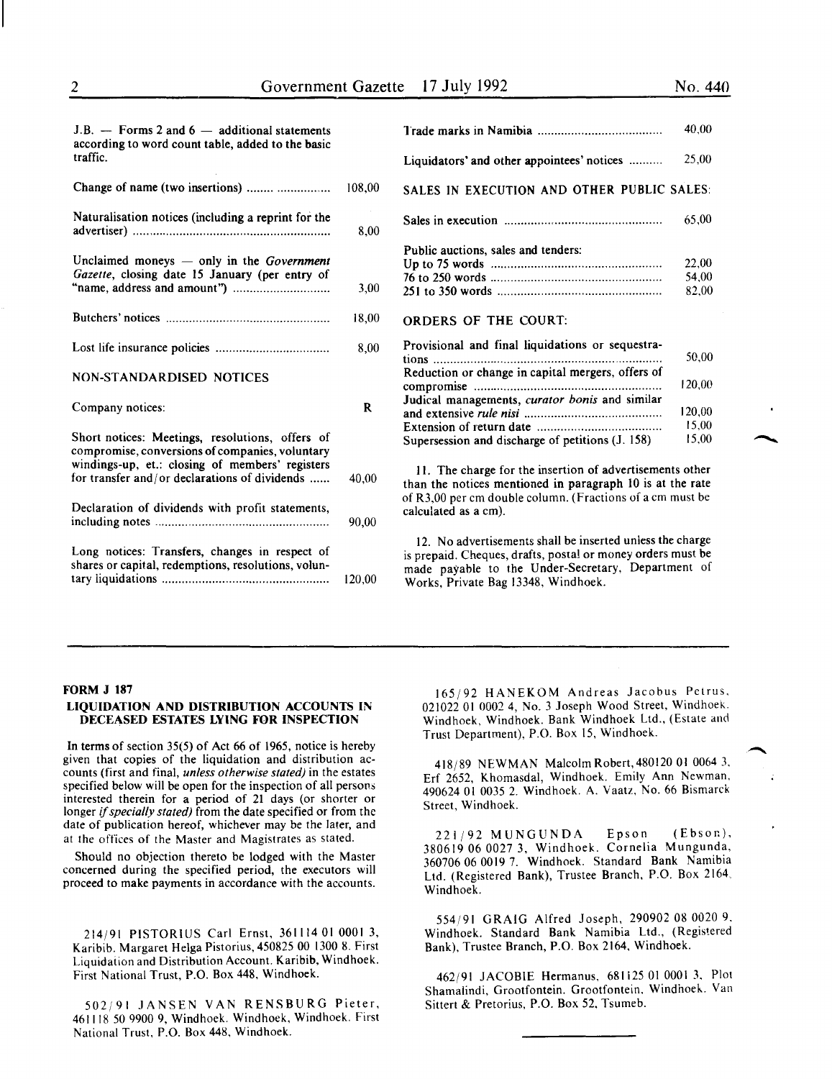| $J.B.$ — Forms 2 and 6 — additional statements<br>according to word count table, added to the basic  |        | Trade marks in Nan                                                      |
|------------------------------------------------------------------------------------------------------|--------|-------------------------------------------------------------------------|
| traffic.                                                                                             |        | Liquidators' and otl                                                    |
| Change of name (two insertions)                                                                      | 108,00 | <b>SALES IN EXECUT</b>                                                  |
| Naturalisation notices (including a reprint for the                                                  | 8,00   | Sales in execution.                                                     |
| Unclaimed moneys $-$ only in the <i>Government</i><br>Gazette, closing date 15 January (per entry of |        | Public auctions, sale<br>Up to 75 words<br>76 to 250 words              |
|                                                                                                      | 3,00   | 251 to 350 words                                                        |
|                                                                                                      | 18,00  | <b>ORDERS OF THI</b>                                                    |
|                                                                                                      | 8,00   | Provisional and fin<br>tions                                            |
| NON-STANDARDISED NOTICES                                                                             |        | Reduction or chang<br>compromise                                        |
| Company notices:                                                                                     | R      | Judical managemen<br>and extensive rule n<br><b>Extension of return</b> |
| Short notices: Meetings, resolutions, offers of<br>compromise, conversions of companies, voluntary   |        | Supersession and di                                                     |
| windings-up, et.: closing of members' registers<br>for transfer and/or declarations of dividends     | 40.00  | 11. The charge fo<br>than the notices me                                |
| Declaration of dividends with profit statements,                                                     | 90,00  | of R3,00 per cm dou<br>calculated as a cm).                             |
| Long notices: Transfers, changes in respect of                                                       |        | 12. No advertiser<br>is prepaid. Cheques,                               |
| shares or capital, redemptions, resolutions, volun-                                                  | 120,00 | made payable to<br>Works, Private Bag                                   |
|                                                                                                      |        |                                                                         |

|                                                            | 40,00  |
|------------------------------------------------------------|--------|
| Liquidators' and other appointees' notices                 | 25,00  |
| SALES IN EXECUTION AND OTHER PUBLIC SALES:                 |        |
|                                                            | 65,00  |
| Public auctions, sales and tenders:                        |        |
|                                                            | 22,00  |
|                                                            | 54.00  |
|                                                            | 82,00  |
| ORDERS OF THE COURT:                                       |        |
| Provisional and final liquidations or sequestra-           |        |
| tions<br>Reduction or change in capital mergers, offers of | 50.00  |
|                                                            | 120,00 |
| Judical managements, curator bonis and similar             |        |
|                                                            | 120.00 |
|                                                            | 15,00  |
| Supersession and discharge of petitions (J. 158)           | 15,00  |
| 11. The charge for the insertion of advertisements other   |        |

entioned in paragraph 10 is at the rate  $b$  ble column. (Fractions of a cm must be

nents shall be inserted unless the charge drafts, postal or money orders must be the Under-Secretary, Department of 13348, Windhoek.

#### FORM J 187

#### LIQUIDATION AND DISTRIBUTION ACCOUNTS IN DECEASED ESTATES LYING FOR INSPECTION

In terms of section 35(5) of Act 66 of 1965, notice is hereby given that copies of the liquidation and distribution accounts (first and final, *unless otherwise stated)* in the estates specified below will be open for the inspection of all persons interested therein for a period of 21 days (or shorter or longer if *specially stated)* from the date specified or from the date of publication hereof, whichever may be the later, and at the offices of the Master and Magistrates as stated.

Should no objection thereto be lodged with the Master concerned during the specified period, the executors will proceed to make payments in accordance with the accounts.

214/91 PISTORIUS Carl Ernst, 361114 01 0001 3, Karibib. Margaret Helga Pistorius, 450825 00 1300 8. First Liquidation and Distribution Account. Karibib, Windhoek. First National Trust, P.O. Box 448, Windhoek.

502/91 JANSEN VAN RENSBURG Pieter, 461118 50 9900 9, Windhoek. Windhoek, Windhoek. First National Trust, P.O. Box 448, Windhoek.

165/92 HANEKOM Andreas Jacobus Petrus, 021022 01 0002 4, No.3 Joseph Wood Street, Windhoek. Windhoek, Windhoek. Bank Windhoek Ltd., (Estate and Trust Department), P.O. Box 15, Windhoek.

418/89 NEWMAN Malcolm Robert, 480120 01 0064 3, Erf 2652, Khomasdal, Windhoek. Emily Ann Newman, 490624 01 0035 2. Windhoek. A. Vaatz, No. 66 Bismarck Street, Windhoek.

221/92 MUNGUNDA Epson (Ebsor.), 380619 06 0027 3, Windhoek. Cornelia Mungunda, 360706 06 0019 7. Windhoek. Standard Bank Namibia Ltd. (Registered Bank), Trustee Branch, P.O. Box 2164. Windhoek.

554/91 GRAIG Alfred Joseph, 290902 08 0020 9. Windhoek. Standard Bank Namibia Ltd., (Registered Bank), Trustee Branch, P.O. Box 2164, Windhoek.

462/91 JACOBlE Hermanus, 681125 01 0001 3, Plot Shamalindi, Grootfontein. Grootfontein, Windhoek. Van Sittert & Pretorius, P.O. Box 52, Tsumeb.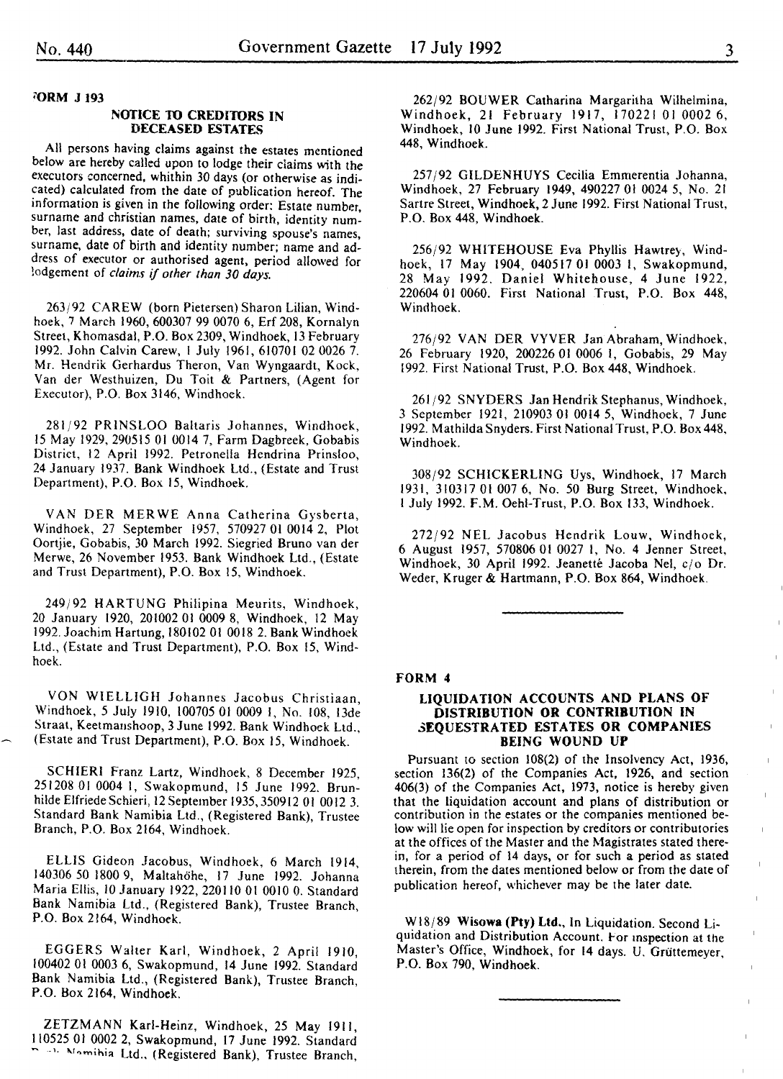'ORM J 193

#### NOTICE TO CREDITORS IN DECEASED ESTATES

All persons having claims against the estates mentioned below are hereby called upon to lodge their claims with the executors concerned, whithin 30 days (or otherwise as indicated) calculated from the date of publication hereof. The information is given in the following order: Estate number, surname and christian names, date of birth, identity number, last address, date of death; surviving spouse's names, surname, date of birth and identity number; name and address of executor or authorised agent, period allowed for lodgement of *claims* if *other than 30 days.* 

263/92 CAREW (born Pietersen) Sharon Lilian, Windhoek, 7 March 1960, 600307 99 0070 6, Erf 208, Kornalyn Street, Khomasdal, P.O. Box 2309, Windhoek, 13 February 1992. John Calvin Carew, I July 1961, 610701 02 0026 7. Mr. Hendrik Gerhardus Theron, Van Wyngaardt, Kock, Van der Westhuizen, Du Toit & Partners, (Agent for Executor), P.O. Box 3146, Windhoek.

281/92 PRINSLOO Baltaris Johannes, Windhoek, IS May 1929, 290515 01 0014 7, Farm Dagbreek, Gobabis District, 12 April 1992. Petronella Hendrina Prinsloo, 24 January 1937. Bank Windhoek Ltd., (Estate and Trust Department}, P.O. Box. 15, Windhoek.

VAN DER MER WE Anna Catherina Gysberta, Windhoek, 27 September 1957, S70927 01 0014 2, Plot Oortjie, Gobabis, 30 March 1992. Siegried Bruno van der Merwe, 26 November 1953. Bank Windhoek Ltd., (Estate and Trust Department}, P.O. Box IS, Windhoek.

249/92 HARTUNG Philipina Meurits, Windhoek, 20 January 1920, 201002 01 0009 8, Windhoek, 12 May 1992. Joachim Hartung, 180102 01 0018 2. Bank Windhoek Ltd., (Estate and Trust Department), P.O. Box 15, Windhoek.

VON WIELLIGH Johannes Jacobus Christiaan, Windhoek, 5 July 1910, 100705 01 0009 I, No. 108, 13de Straat, Keetmaushoop, 3 June 1992. Bank Windhoek Ltd., (Estate and Trust Department), P.O. Box IS, Windhoek.

SCHIER! Franz Lartz, Windhoek, 8 December 1925, 251208 01 0004 I, Swakopmund, 15 June 1992. Brunhilde Elfriede Schieri, 12 September 1935, 350912 01 0012 3. Standard Bank Namibia Ltd., (Registered Bank), Trustee Branch, P.O. Box 2164, Windhoek.

ELLIS Gideon Jacobus, Windhoek, 6 March 1914, 140306 50 1800 9, Maltahohe, 17 June 1992. Johanna Maria Ellis, 10 January 1922, 220110 01 0010 0. Standard Bank Namibia Ltd., (Registered Bank), Trustee Branch, P.O. Box 2164, Windhoek.

EGGERS Walter Karl, Windhoek, 2 April 1910, 100402 01 0003 6, Swakopmund, 14 June 1992. Standard Bank Namibia Ltd., (Registered Bank), Trustee Branch, P.O. Box 2164, Windhoek.

ZETZMANN Karl-Heinz, Windhoek, 25 May 1911, 110525 01 0002 2, Swakopmund, 17 June 1992. Standard ment Nomihia Ltd., (Registered Bank), Trustee Branch,

262/92 BOUWER Catharina Margaritha Wilhelmina, Windhoek, 21 February 1917, 170221 01 0002 6, Windhoek, 10 June 1992. First National Trust, P.O. Box 448, Windhoek.

257/92 GILDENHUYS Cecilia Emrnerentia Johanna, Windhoek, 27 February 1949, 490227 01 0024 5, No. 21 Sartre Street, Windhoek, 2 June 1992. First National Trust, P.O. Box 448, Windhoek.

256/92 WHITEHOUSE Eva Phyllis Hawtre}, Windhoek, 17 May 1904, 040517 01 0003 1, Swakopmund, 28 May 1992. Daniel Whitehouse, 4 June 1922, 220604 01 0060. First National Trust, P.O. Box 448, Windhoek.

*276j92* VAN DER VYVER Jan Abraham, Windhoek, 26 February 1920, 200226 01 0006 I, Gobabis, 29 May 1992. First National Trust, P.O. Box 448, Windhoek.

261/92 SNYDERS Jan Hendrik Stephanus, Windhoek, 3 September 1921, 210903 01 0014 5, Windhoek, 7 June 1992. Mathilda Snyders. First National Trust, P.O. Box 448, Windhoek.

308/92 SCHICKERLING Uys, Windhoek, 17 March 1931, 310317 01 007 6, No. 50 Burg Street, Windhoek, I July 1992. F.M. Oehl-Trust, P.O. Box 133, Windhoek.

272/92 NEL Jacobus Hendrik Louw, Windhoek, 6 August 1957, 570806 01 0027 I, No. 4 Jenner Street, Windhoek, 30 April 1992. Jeanetté Jacoba Nel, c/o Dr. Weder, Kruger & Hartmann, P.O. Box 864, Windhoek.

#### FORM 4

#### LIQUIDATION ACCOUNTS AND PLANS OF DISTRIBUTION OR CONTRIBUTION IN 3EQUESTRATED ESTATES OR COMPANIES BEING WOUND UP

Pursuant to section 108(2) of the Insolvency Act, 1936, section 136{2) of the Companies Act, 1926, and section 406(3) of the Companies Act, 1973, notice is hereby given contribution in the estates or the companies mentioned below will lie open for inspection by creditors or contributories at the offices of the Master and the Magistrates stated therein, for a period of 14 days, or for such a period as stated therein, from the dates mentioned below or from the date of publication hereof, whichever may be the later date.

Wl8/89 Wisowa (Pty) Ltd., In Liquidation. Second Liquidation and Distribution Account. For inspection at the Master's Office, Windhoek, for 14 days. U. Grüttemeyer, P.O. Box 790, Windhoek.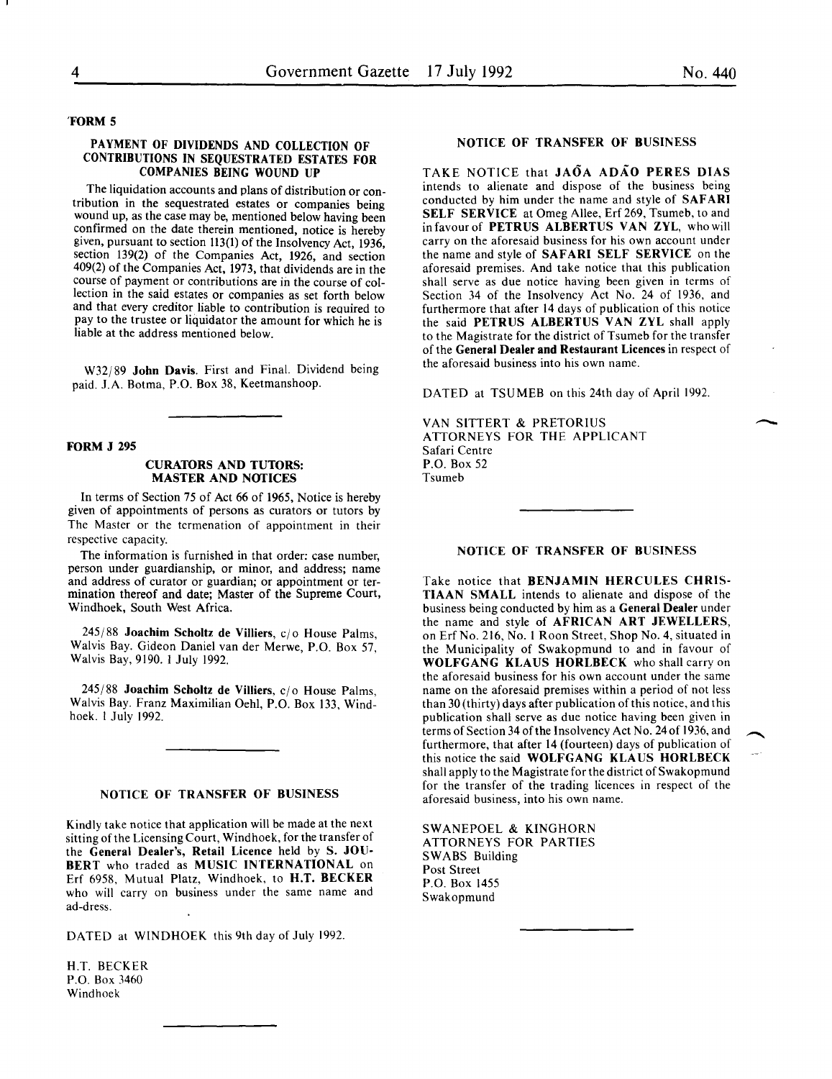#### 'FORM 5

#### PAYMENT OF DIVIDENDS AND COLLECTION OF CONTRIBUTIONS IN SEQUESTRATED ESTATES FOR COMPANIES BEING WOUND UP

The liquidation accounts and plans of distribution or contribution in the sequestrated estates or companies being wound up, as the case may be, mentioned below having been confirmed on the date therein mentioned, notice is hereby given, pursuant to section 113(1) of the Insolvency Act, 1936, section 139(2) of the Companies Act, 1926, and section 409(2) of the Companies Act, 1973, that dividends are in the course of payment or contributions are in the course of collection in the said estates or companies as set forth below and that every creditor liable to contribution is reouired to pay to the trustee or liquidator the amount for which he is liable at the address mentioned below.

W32j89 John Davis. First and Final. Dividend being paid. J.A. Botma, P.O. Box 38, Keetmanshoop.

#### FORM J 295

#### CURATORS AND TUTORS: **MASTER AND NOTICES**

In terms of Section 75 of Act 66 of 1965, Notice is hereby given of appointments of persons as curators or tutors by The Master or the termenation of appointment in their respective capacity.

The information is furnished in that order: case number, person under guardianship, or minor, and address; name and address of curator or guardian; or appointment or termination thereof and date; Master of the Supreme Court, Windhoek, South West Africa.

 $245/88$  Joachim Scholtz de Villiers,  $c/\sigma$  House Palms, Walvis Bay. Gideon Daniel van der Merwe, P.O. Box 57, Walvis Bay, 9190. I July 1992.

 $245/88$  Joachim Scholtz de Villiers,  $c/\sigma$  House Palms, Walvis Bay. Franz Maximilian Oehl, P.O. Box 133, Windhoek. I July 1992.

# NOTICE OF TRANSFER OF BUSINESS

Kindly take notice that application will be made at the next sitting of the Licensing Court, Windhoek, for the transfer of the General Dealer's, Retail Licence held by S. JOU-BERT who traded as MUSIC INTERNATIONAL on Erf 6958, Mutual Platz, Windhoek, to H.T. BECKER who will carry on business under the same name and ad-dress.

DATED at WINDHOEK this 9th day of July 1992.

H.T. BECKER P.O. Box 3460 Windhoek

# NOTICE OF TRANSFER OF BUSINESS

TAKE NOTICE that JAOA ADAO PERES DIAS intends to alienate and dispose of the business being conducted by him under the name and style of SAFARI SELF SERVICE at Omeg Allee, Erf 269, Tsumeb, to and in favour of PETRUS ALBERTUS VAN ZYL, who will carry on the aforesaid business for his own account under the name and style of SAFARI SELF SERVICE on the aforesaid premises. And take notice that this publication shall serve as due notice having been given in terms of Section 34 of the Insolvency Act No. 24 of 1936, and furthermore that after 14 days of publication of this notice the said PETRUS ALBERTUS VAN ZYL shall apply to the Magistrate for the district of Tsumeb for the transfer of the General Dealer and Restaurant Licences in respect of the aforesaid business into his own name.

DATED at TSUMEB on this 24th day of April 1992.

VAN SITTERT & PRETORIUS ATTORNEYS FOR THE APPLICANT Safari Centre P.O. Box 52 Tsumeb

#### NOTICE OF TRANSFER OF BUSINESS

Take notice that BENJAMIN HERCULES CHRIS-TIAAN SMALL intends to alienate and dispose of the business being conducted by him as a General Dealer under the name and style of AFRICAN ART JEWELLERS, on Erf No. 216, No. 1 Roon Street, Shop No. 4, situated in the Municipality of Swakopmund to and in favour of WOLFGANG KLAUS HORLBECK who shall carry on the aforesaid business for his own account under the same name on the aforesaid premises within a period of not less than 30 (thirty) days after publication of this notice, and this publication shall serve as due notice having been given in terms of Section 34 of the Insolvency Act No. 24 of 1936, and furthermore, that after 14 (fourteen) days of publication of this notice the said WOLFGANG KLAUS HORLBECK shall apply to the Magistrate for the district of Swakopmund for the transfer of the trading licences in respect of the aforesaid business, into his own name.

SWANEPOEL & KINGHORN ATTORNEYS FOR PARTIES SWABS Building Post Street P.O. Box 1455 Swakopmund

 $\overline{\phantom{a}}$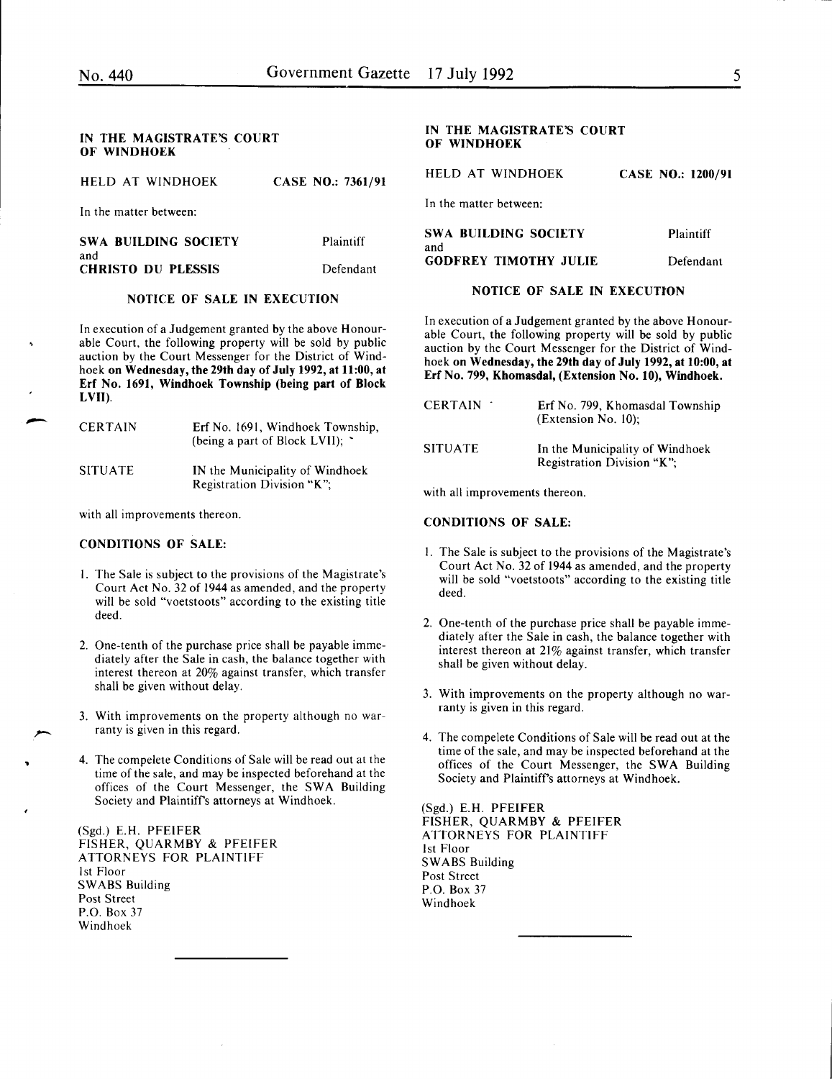بر<br>بر<br>بر

#### IN THE MAGISTRATE'S COURT OF WINDHOEK

| HELD AT WINDHOEK                   | <b>CASE NO.: 7361/91</b> |
|------------------------------------|--------------------------|
| In the matter between:             |                          |
| <b>SWA BUILDING SOCIETY</b><br>and | Plaintiff                |
| <b>CHRISTO DU PLESSIS</b>          | Defendant                |

#### NOTICE OF SALE IN EXECUTION

In execution of a Judgement granted by the above Honourable Court, the following property will be sold by public auction by the Court Messenger for the District of Windhoek on Wednesday, the 29th day of July 1992, at 11:00, at Erf No. 1691, Windhoek Township (being part of Block LVII).

| <b>CERTAIN</b> | Erf No. 1691, Windhoek Township,<br>(being a part of Block LVII); ` |
|----------------|---------------------------------------------------------------------|
| <b>SITUATE</b> | IN the Municipality of Windhoek<br>Registration Division "K":       |

with all improvements thereon.

#### CONDITIONS OF SALE:

- I. The Sale is subject to the provisions of the Magistrate's Court Act No. 32 of 1944 as amended, and the property will be sold "voetstoots" according to the existing title deed.
- 2. One-tenth of the purchase price shall be payable immediately after the Sale in cash, the balance together with interest thereon at 20% against transfer, which transfer shall be given without delay.
- 3. With improvements on the property although no warranty is given in this regard.
- 4. The compelete Conditions of Sale will be read out at the time of the sale, and may be inspected beforehand at the offices of the Court Messenger, the SWA Building Society and Plaintiffs attorneys at Windhoek.

(Sgd.) E.H. PFEIFER FISHER, QUARMBY & PFEIFER ATTORNEYS FOR PLAINTIFF 1st Floor SWABS Building Post Street P.O. Box 37 Windhoek

#### IN THE MAGISTRATE'S COURT OF WINDHOEK

HELD AT WINDHOEK CASE NO.: 1200/91 In the matter between:

| SWA BUILDING SOCIETY         | <b>Plaintiff</b> |
|------------------------------|------------------|
| and                          |                  |
| <b>GODFREY TIMOTHY JULIE</b> | Defendant        |

#### NOTICE OF SALE IN EXECUTION

In execution of a Judgement granted by the above Honourable Court, the following property will be sold by public auction by the Court Messenger for the District of Windhoek on Wednesday, the 29th day of July 1992, at 10:00, at Erf No. 799, Khomasdal, (Extension No. 10), Windhoek.

| <b>CERTAIN</b> | Erf No. 799, Khomasdal Township<br>(Extension No. 10):        |
|----------------|---------------------------------------------------------------|
| SITUATE        | In the Municipality of Windhoek<br>Registration Division "K"; |

with all improvements thereon.

#### CONDITIONS OF SALE:

- I. The Sale is subject to the provisions of the Magistrate's Court Act No. 32 of 1944 as amended, and the property will be sold "voetstoots" according to the existing title deed.
- 2. One-tenth of the purchase price shall be payable immediately after the Sale in cash, the balance together with interest thereon at 21% against transfer, which transfer shall be given without delay.
- 3. With improvements on the property although no warranty is given in this regard.
- 4. The compelete Conditions of Sale will be read out at the time of the sale, and may be inspected beforehand at the offices of the Court Messenger, the SWA Building Society and Plaintiff's attorneys at Windhoek.

(Sgd.) E.H. PFEIFER FISHER, QUARMBY & PFEIFER ATTORNEYS FOR PLAINTIFF 1st Floor SWABS Building Post Street P.O. Box 37 Windhoek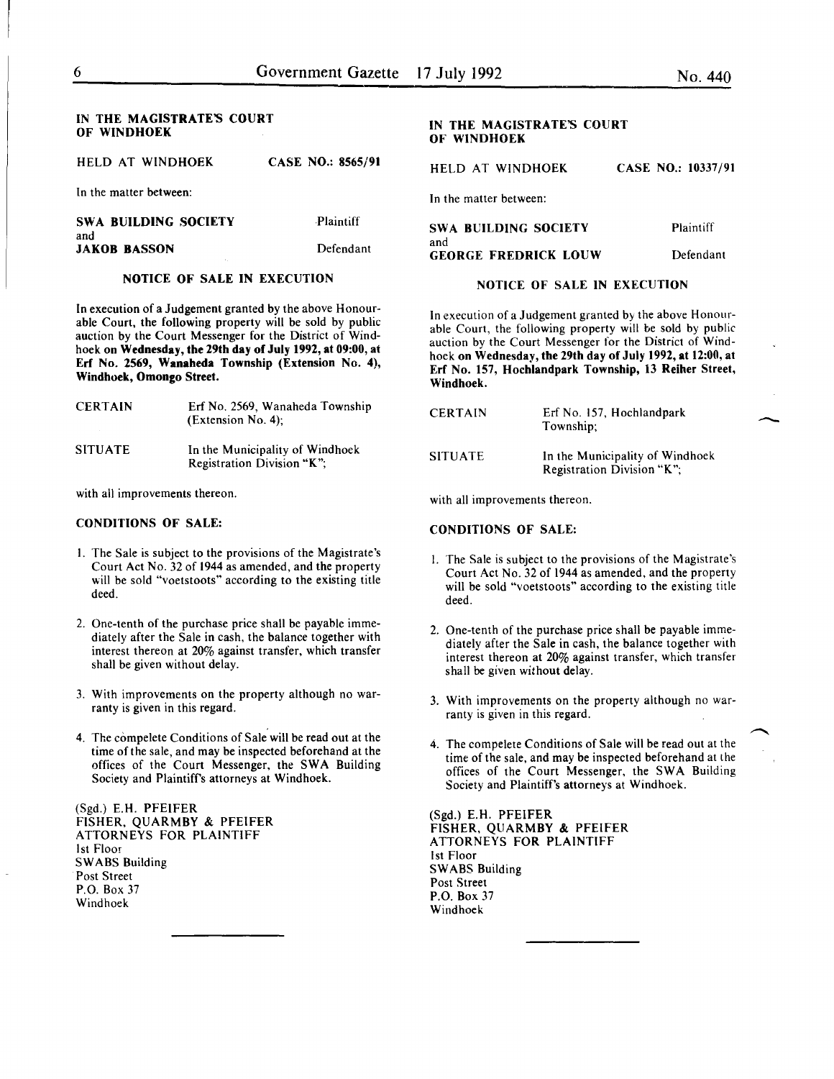#### IN THE MAGISTRATE'S COURT OF WINDHOEK

| HELD AT WINDHOEK<br>CASE NO.: 8565/91 |  |  |  |  |  |
|---------------------------------------|--|--|--|--|--|
|---------------------------------------|--|--|--|--|--|

In the matter between:

| SWA BUILDING SOCIETY | <b>Plaintiff</b> |
|----------------------|------------------|
| and                  |                  |
| JAKOB BASSON         | Defendant        |

#### NOTICE OF SALE IN EXECUTION

In execution of a Judgement granted by the above Honourable Court, the following property will be sold by public auction by the Court Messenger for the District of Windhoek on Wednesday, the 29th day of July 1992, at 09:00, at Erf No. 2569, Wanaheda Township (Extension No. 4), Windhoek, Omongo Street.

| <b>CERTAIN</b> | Erf No. 2569, Wanaheda Township<br>$(Extension No. 4)$ ;      |
|----------------|---------------------------------------------------------------|
| SITUATE        | In the Municipality of Windhoek<br>Registration Division "K"; |

with all improvements thereon.

#### CONDITIONS OF SALE:

- I. The Sale is subject to the provisions of the Magistrate's Court Act No. 32 of 1944 as amended, and the property will be sold "voetstoots" according to the existing title deed.
- 2. One-tenth of the purchase price shall be payable immediately after the Sale in cash, the balance together with interest thereon at 20% against transfer, which transfer shall be given without delay.
- 3. With improvements on the property although no warranty is given in this regard.
- 4. The compelete Conditions of Sale will be read out at the time of the sale, and may be inspected beforehand at the offices of the Court Messenger, the SWA Building Society and Plaintiff's attorneys at Windhoek.

(Sgd.) E.H. PFEIFER FISHER, QUARMBY & PFEIFER ATTORNEYS FOR PLAINTIFF 1st Floor SWABS Building Post Street P.O. Box 37 Windhoek

# IN THE MAGISTRATE'S COURT OF WINDHOEK

HELD AT WINDHOEK CASE NO.: 10337/91

In the matter between:

| <b>SWA BUILDING SOCIETY</b>        | <b>Plaintiff</b> |
|------------------------------------|------------------|
| and<br><b>GEORGE FREDRICK LOUW</b> | Defendant        |

#### NOTICE OF SALE IN EXECUTION

In execution of a Judgement granted by the above Honourable Court, the following property will be sold by public auction by the Court Messenger for the District of Windhoek on Wednesday, the 29th day of July 1992, at 12:00, at Erf No. 157, Hochlandpark Township, 13 Reiher Street, Windhoek.

| <b>CERTAIN</b> | Erf No. 157, Hochlandpark<br>Township:                        |
|----------------|---------------------------------------------------------------|
| SITUATE        | In the Municipality of Windhoek<br>Registration Division "K"; |

with all improvements thereon.

#### CONDITIONS OF SALE:

- 1. The Sale is subject to the provisions of the Magistrate's Court Act No. 32 of 1944 as amended, and the property will be sold "voetstoots" according to the existing title deed.
- 2. One-tenth of the purchase price shall be payable immediately after the Sale in cash, the balance together with interest thereon at 20% against transfer, which transfer shall be given without delay.
- 3. With improvements on the property although no warranty is given in this regard.
- 4. The compelete Conditions of Sale will be read out at the time of the sale, and may be inspected beforehand at the offices of the Court Messenger, the SWA Building Society and Plaintiff's attorneys at Windhoek.

(Sgd.) E.H. PFEIFER FISHER, QUARMBY & PFEIFER ATTORNEYS FOR PLAINTIFF 1st Floor SWABS Building Post Street P.O. Box 37 Windhoek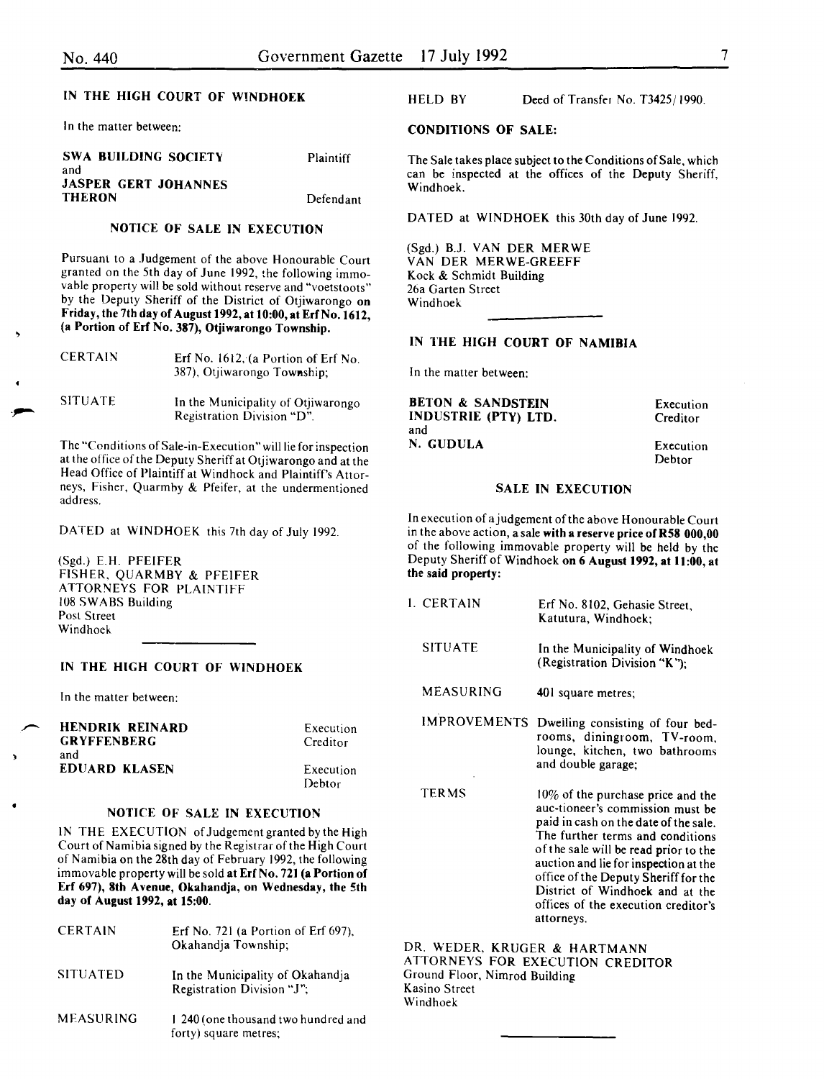$\overline{\phantom{0}}$ 

# IN THE HIGH COURT OF WINDHOEK

In the matter between:

| SWA BUILDING SOCIETY        | Plaintiff |
|-----------------------------|-----------|
| and                         |           |
| <b>JASPER GERT JOHANNES</b> |           |
| <b>THERON</b>               | Defendant |

#### NOTICE OF SALE IN EXECUTION

Pursuant to a Judgement of the above Honourable Court granted on the 5th day of June 1992, the following immovable property will be sold without reserve and "voetstoots" by the Deputy Sheriff of the District of Otjiwarongo on Friday, the 7th day of August 1992, at 10:00, at Erf No. 1612, (a Portion of Erf No. 387), Otjiwarongo Township.

| <b>CERTAIN</b> | Erf No. $1612$ , (a Portion of Erf No.<br>387), Otjiwarongo Township; |
|----------------|-----------------------------------------------------------------------|
| <b>SITUATE</b> | In the Municipality of Otjiwarongo<br>Registration Division "D".      |

The "Conditions of Sale-in-Execution" will lie for inspection at the office of the Deputy Sheriff at Otjiwarongo and at the Head Office of Plaintiff at Windhoek and Plaintiff's Attorneys, Fisher, Quarmhy & Pfeifer, at the undermentioned address.

DATED at WINDHOEK this 7th day of July 1992.

(Sgd.) E.H. PFEIFER FISHER, QUARMBY & PFEIFER ATTORNEYS FOR PLAINTIFF 108 SWABS Building Post Street Windhoek

# IN THE HIGH COURT OF WINDHOEK

In the matter between:

**HENDRIK REINARD** GRYFFENBERG Execution Creditor and EDUARD KLASEN Execution Debtor

# NOTICE OF SALE IN EXECUTION

IN THE EXECUTION of Judgement granted by the High Court of Namibia signed by the Registrar ofthe High Court of Namibia on the 28th day of February 1992, the following immovable property will be sold at Erf No. 721 (a Portion of Erf 697), 8th Avenue, Okahandja, on Wednesday, the 5th day of August 1992, at 15:00.

| <b>CERTAIN</b>  | Erf No. 721 (a Portion of Erf 697).<br>Okahandja Township;     |
|-----------------|----------------------------------------------------------------|
| <b>SITUATED</b> | In the Municipality of Okahandja<br>Registration Division "J"; |
| MEASURING       | 1 240 (one thousand two hundred and<br>forty) square metres:   |

HELD BY Deed of Transfer No. T3425/1990.

#### CONDITIONS OF SALE:

The Sale takes place subject to the Conditions of Sale, which can be inspected at the offices of the Deputy Sheriff, Windhoek.

DATED at WINDHOEK this 30th day of June 1992.

(Sgd.) B.J. VAN DER MERWE VAN DER MERWE-GREEFF Kock & Schmidt Building 26a Garten Street Windhoek

# IN THE HIGH COURT OF NAMIBIA

In the matter between:

 $\overline{a}$ 

BETON & SANDSTEIN INDUSTRIE (PTY) LTD. and N. GUDULA

Execution **Creditor** 

Execution Debtor

#### SALE IN EXECUTION

In execution of a judgement of the above Honourable Court in the above action, a sale with a reserve price of R58 000,00 of the following immovable property will be held by the Deputy Sheriff of Windhoek on 6 August 1992, at 11:00, at the said property:

| I. CERTAIN     | Erf No. 8102, Gehasie Street.<br>Katutura, Windhoek;                         |
|----------------|------------------------------------------------------------------------------|
| <b>SITUATE</b> | In the Municipality of Windhoek<br>(Registration Division "K"):              |
| MEASURING      | 401 square metres;                                                           |
|                | IMPROVEMENTS Dweiling consisting of four bed-<br>rooms, diningroom, TV-room, |

rooms, diningroom, TV -room, lounge, kitchen, two bathrooms and double garage;

TERMS 10% of the purchase price and the auc-tioneer's commission must be paid in cash on the date of the sale. The further terms and conditions of the sale will be read prior to the auction and lie for inspection at the office of the Deputy Sheriff for the District of Windhoek and at the offices of the execution creditor's attorneys.

DR. WEDER, KRUGER & HARTMANN ATTORNEYS FOR EXECUTION CREDITOR Ground Floor, Nimrod Building Kasino Street Windhoek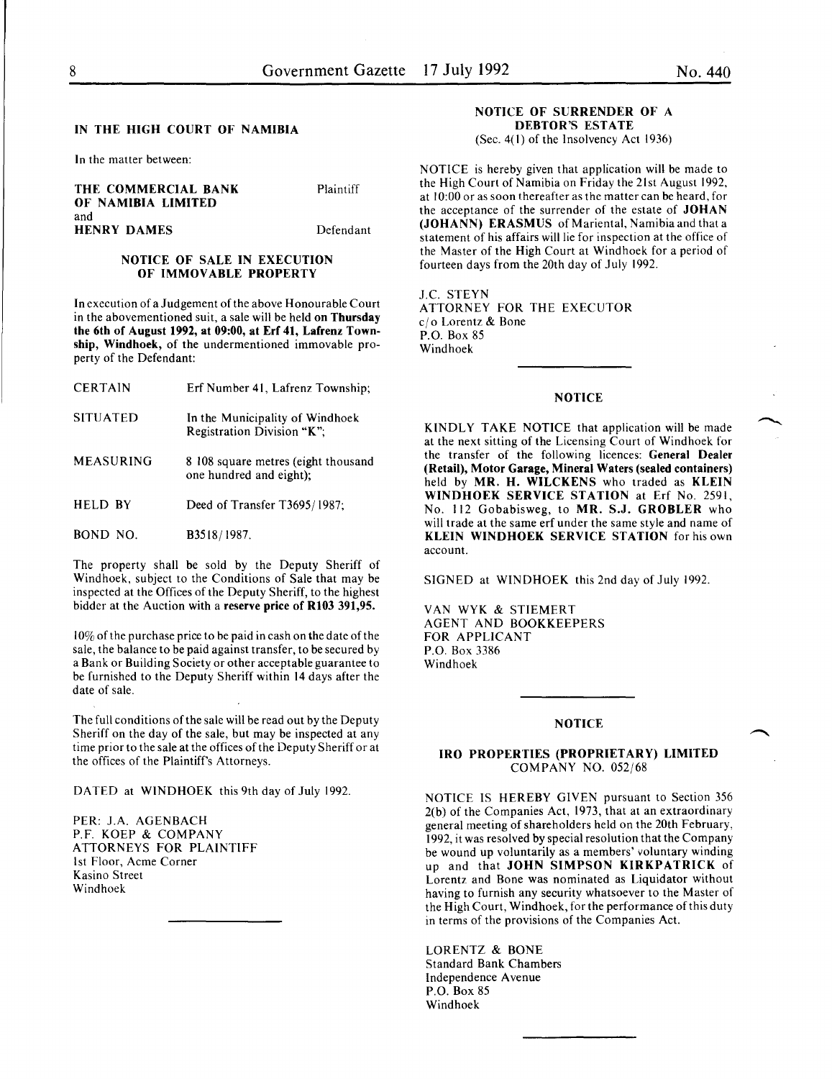#### IN THE HIGH COURT OF NAMIBIA

In the matter between:

THE COMMERCIAL BANK OF NAMIBIA LIMITED and HENRY DAMES

Plaintiff

Defendant

# NOTICE OF SALE IN EXECUTION OF IMMOVABLE PROPERTY

In execution of a Judgement of the above Honourable Court in the abovementioned suit, a sale will be held on Thursday the 6th of August 1992, at 09:00, at Erf 41, Lafrenz Township, Windhoek, of the undermentioned immovable property of the Defendant:

- CERTAIN Erf Number 41, Lafrenz Township;
- SITUATED In the Municipality of Windhoek Registration Division "K";
- MEASURING 8 108 square metres (eight thousand one hundred and eight);
- HELD BY Deed of Transfer T3695/1987;
- BOND NO. B3518/1987.

The property shall be sold by the Deputy Sheriff of Windhoek, subject to the Conditions of Sale that may be inspected at the Offices of the Deputy Sheriff, to the highest bidder at the Auction with a reserve price of R103 391,95.

 $10\%$  of the purchase price to be paid in cash on the date of the sale, the balance to be paid against transfer, to be secured by a Bank or Building Society or other acceptable guarantee to be furnished to the Deputy Sheriff within 14 days after the date of sale.

The full conditions of the sale will be read out by the Deputy Sheriff on the day of the sale, but may be inspected at any time prior to the sale at the offices of the Deputy Sheriff or at the offices of the Plaintiff's Attorneys.

DATED at WINDHOEK this 9th day of July 1992.

PER: J.A. AGENBACH P.F. KOEP & COMPANY ATTORNEYS FOR PLAINTIFF 1st Floor, Acme Corner Kasino Street Windhoek

#### NOTICE OF SURRENDER OF A DEBTOR'S ESTATE

(Sec. 4(1) of the Insolvency Act 1936)

NOTICE is hereby given that application will be made to the High Court of Namibia on Friday the 21st August 1992, at 10:00 or as soon thereafter as the matter can be heard, for the acceptance of the surrender of the estate of JOHAN (JOHANN) ERASMUS of Mariental, Namibia and that a statement of his affairs will lie for inspection at the office of the Master of the High Court at Windhoek for a period of fourteen days from the 20th day of July 1992.

J.C. STEYN ATTORNEY FOR THE EXECUTOR c/o Lorentz & Bone P.O. Box 85 Windhoek

# **NOTICE**

KINDLY TAKE NOTICE that application will be made at the next sitting of the Licensing Court of Windhoek for the transfer of the following licences: General Dealer (Retail), Motor Garage, Mineral Waters (sealed containers) held by MR. H. WILCKENS who traded as KLEIN WINDHOEK SERVICE STATION at Erf No. 2591, No. 112 Gobabisweg, to MR. S.J. GROBLER who will trade at the same erf under the same style and name of KLEIN WINDHOEK SERVICE STATION for his own account.

SIGNED at WINDHOEK this 2nd day of July 1992.

VAN WYK & STIEMERT AGENT AND BOOKKEEPERS FOR APPLICANT P.O. Box 3386 Windhoek

#### **NOTICE**

#### IRO PROPERTIES (PROPRIETARY) LIMITED COMPANY NO. 052/68

NOTICE IS HEREBY GIVEN pursuant to Section 356 2(b) of the Companies Act, 1973, that at an extraordinary general meeting of shareholders held on the 20th February, 1992 it was resolved by special resolution that the Company be wound up voluntarily as a members' voluntary winding up and that JOHN SIMPSON KIRKPATRICK of Lorentz and Bone was nominated as Liquidator without having to furnish any security whatsoever to the Master of the High Court, Windhoek, for the performance of this duty in terms of the provisions of the Companies Act.

LORENTZ & BONE Standard Bank Chambers Independence Avenue P.O. Box 85 Windhoek